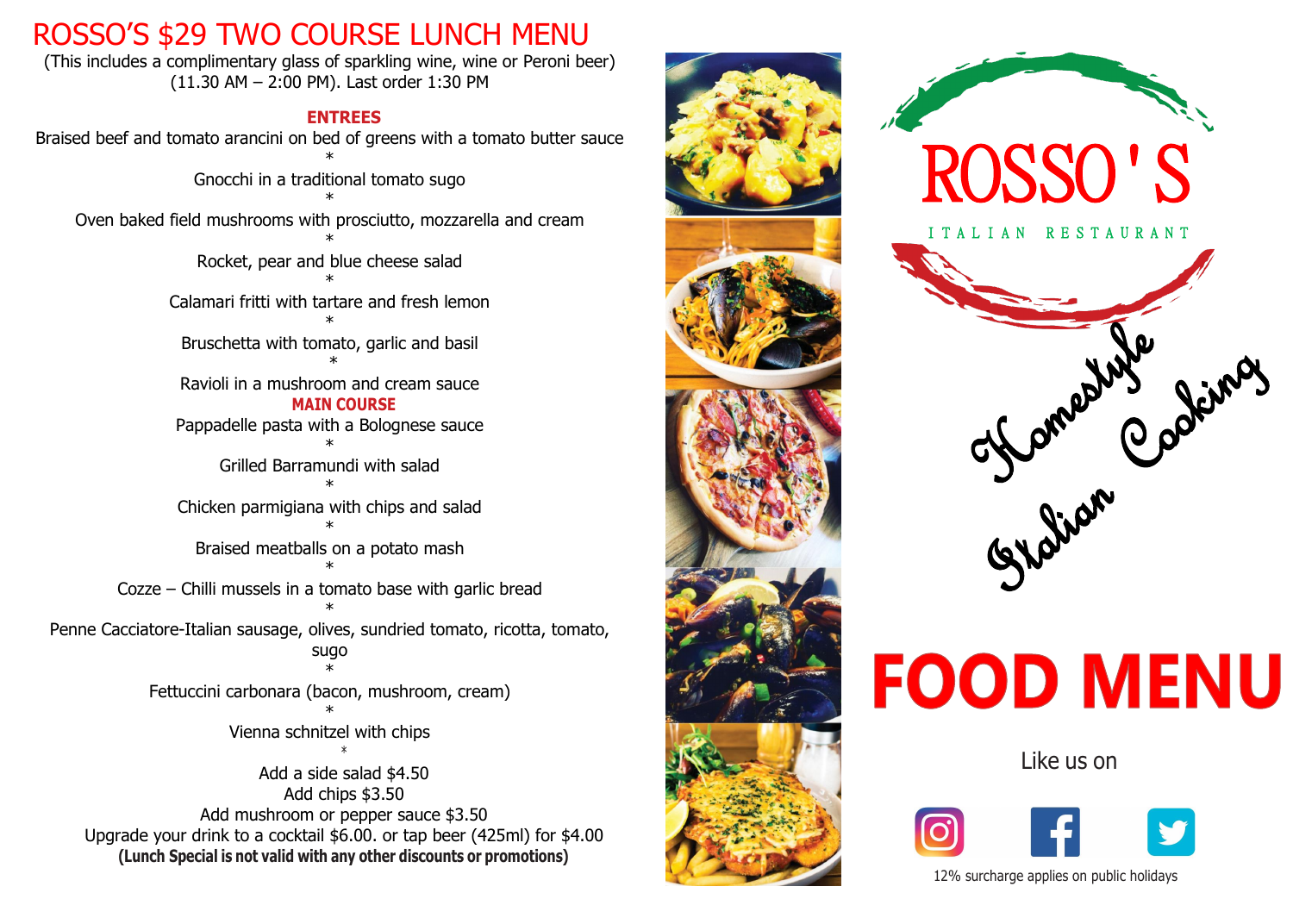### ROSSO'S \$29 TWO COURSE LUNCH MENU

(This includes a complimentary glass of sparkling wine, wine or Peroni beer) (11.30 AM – 2:00 PM). Last order 1:30 PM

### **ENTREES**

Braised beef and tomato arancini on bed of greens with a tomato butter sauce \* Gnocchi in a traditional tomato sugo \* Oven baked field mushrooms with prosciutto, mozzarella and cream \* Rocket, pear and blue cheese salad \* Calamari fritti with tartare and fresh lemon \* Bruschetta with tomato, garlic and basil \* Ravioli in a mushroom and cream sauce **MAIN COURSE** Pappadelle pasta with a Bolognese sauce \* Grilled Barramundi with salad \* Chicken parmigiana with chips and salad \* Braised meatballs on a potato mash \* Cozze – Chilli mussels in a tomato base with garlic bread \* Penne Cacciatore-Italian sausage, olives, sundried tomato, ricotta, tomato, sugo \* Fettuccini carbonara (bacon, mushroom, cream) \* Vienna schnitzel with chips \* Add a side salad \$4.50 Add chips \$3.50 Add mushroom or pepper sauce \$3.50 Upgrade your drink to a cocktail \$6.00. or tap beer (425ml) for \$4.00  **(Lunch Special is not valid with any other discounts or promotions)**